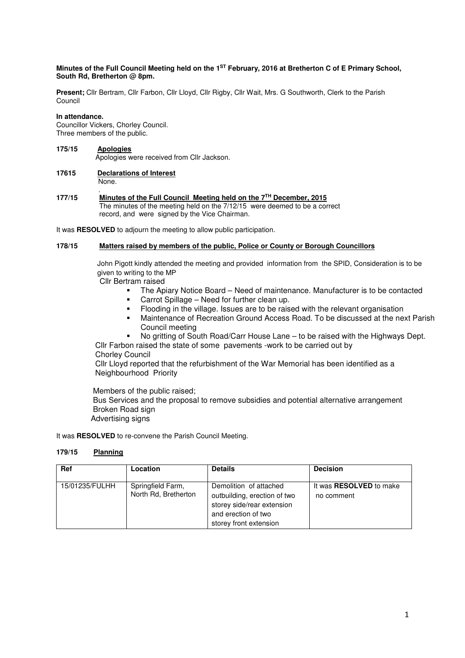### **Minutes of the Full Council Meeting held on the 1ST February, 2016 at Bretherton C of E Primary School, South Rd, Bretherton @ 8pm.**

**Present;** Cllr Bertram, Cllr Farbon, Cllr Lloyd, Cllr Rigby, Cllr Wait, Mrs. G Southworth, Clerk to the Parish Council

### **In attendance.**

Councillor Vickers, Chorley Council. Three members of the public.

# **175/15 Apologies** Apologies were received from Cllr Jackson.

### **17615 Declarations of Interest** None.

. **177/15 Minutes of the Full Council Meeting held on the 7TH December, 2015**  The minutes of the meeting held on the 7/12/15 were deemed to be a correct record, and were signed by the Vice Chairman.

It was **RESOLVED** to adjourn the meeting to allow public participation.

## **178/15 Matters raised by members of the public, Police or County or Borough Councillors**

 John Pigott kindly attended the meeting and provided information from the SPID, Consideration is to be given to writing to the MP

Cllr Bertram raised

- The Apiary Notice Board Need of maintenance. Manufacturer is to be contacted
- **EXEC** Carrot Spillage Need for further clean up.
- Flooding in the village. Issues are to be raised with the relevant organisation
- Maintenance of Recreation Ground Access Road. To be discussed at the next Parish Council meeting
- No gritting of South Road/Carr House Lane to be raised with the Highways Dept.

 Cllr Farbon raised the state of some pavements -work to be carried out by Chorley Council

 Cllr Lloyd reported that the refurbishment of the War Memorial has been identified as a Neighbourhood Priority

Members of the public raised;

 Bus Services and the proposal to remove subsidies and potential alternative arrangement Broken Road sign

Advertising signs

It was **RESOLVED** to re-convene the Parish Council Meeting.

# **179/15 Planning**

| <b>Ref</b>     | Location                                  | <b>Details</b>                                                                                                                        | <b>Decision</b>                              |
|----------------|-------------------------------------------|---------------------------------------------------------------------------------------------------------------------------------------|----------------------------------------------|
| 15/01235/FULHH | Springfield Farm,<br>North Rd, Bretherton | Demolition of attached<br>outbuilding, erection of two<br>storey side/rear extension<br>and erection of two<br>storey front extension | It was <b>RESOLVED</b> to make<br>no comment |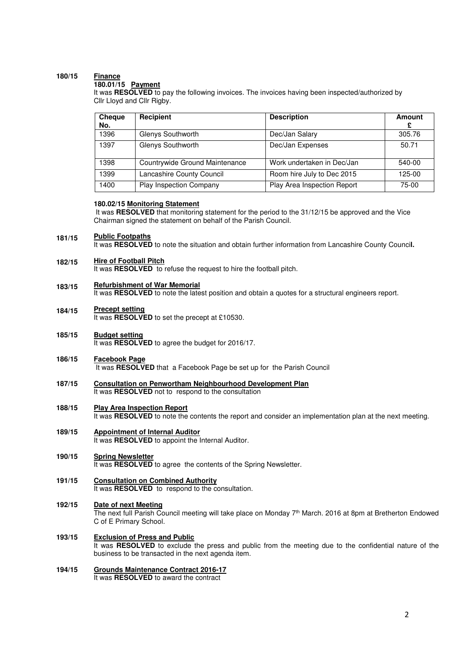### **180/15 Finance**

# **180.01/15 Payment**

It was **RESOLVED** to pay the following invoices. The invoices having been inspected/authorized by Cllr Lloyd and Cllr Rigby.

| <b>Cheque</b><br>No. | Recipient                      | <b>Description</b>          | Amount |
|----------------------|--------------------------------|-----------------------------|--------|
| 1396                 | Glenys Southworth              | Dec/Jan Salary              | 305.76 |
| 1397                 | Glenys Southworth              | Dec/Jan Expenses            | 50.71  |
| 1398                 | Countrywide Ground Maintenance | Work undertaken in Dec/Jan  | 540-00 |
| 1399                 | Lancashire County Council      | Room hire July to Dec 2015  | 125-00 |
| 1400                 | <b>Play Inspection Company</b> | Play Area Inspection Report | 75-00  |

### **180.02/15 Monitoring Statement**

 It was **RESOLVED** that monitoring statement for the period to the 31/12/15 be approved and the Vice Chairman signed the statement on behalf of the Parish Council.

#### **181/15 Public Footpaths**

It was **RESOLVED** to note the situation and obtain further information from Lancashire County Counci**l.** 

#### **182/15 Hire of Football Pitch**

It was **RESOLVED** to refuse the request to hire the football pitch.

### **183/15 Refurbishment of War Memorial**

It was **RESOLVED** to note the latest position and obtain a quotes for a structural engineers report.

#### **184/15 Precept setting**

It was **RESOLVED** to set the precept at £10530.

- **185/15 Budget setting** It was **RESOLVED** to agree the budget for 2016/17.
- **186/15 Facebook Page** It was **RESOLVED** that a Facebook Page be set up for the Parish Council
- **187/15 Consultation on Penwortham Neighbourhood Development Plan**  It was **RESOLVED** not to respond to the consultation

### **188/15 Play Area Inspection Report**  It was **RESOLVED** to note the contents the report and consider an implementation plan at the next meeting.

**189/15 Appointment of Internal Auditor**  It was **RESOLVED** to appoint the Internal Auditor.

#### **190/15 Spring Newsletter**

It was **RESOLVED** to agree the contents of the Spring Newsletter.

- **191/15 Consultation on Combined Authority**  It was **RESOLVED** to respond to the consultation.
- **192/15 Date of next Meeting**  The next full Parish Council meeting will take place on Monday 7<sup>th</sup> March. 2016 at 8pm at Bretherton Endowed C of E Primary School.
- **193/15 Exclusion of Press and Public**  It was **RESOLVED** to exclude the press and public from the meeting due to the confidential nature of the business to be transacted in the next agenda item.
- **194/15 Grounds Maintenance Contract 2016-17**  It was **RESOLVED** to award the contract